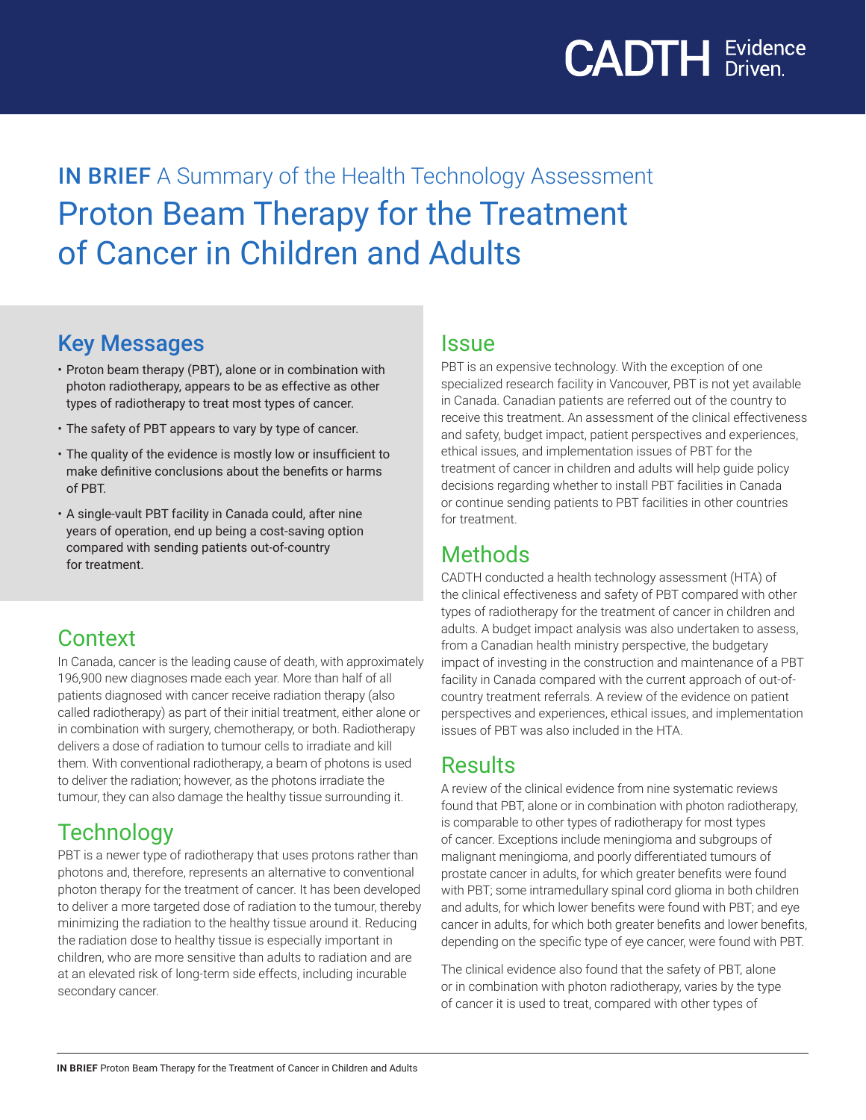

# **IN BRIEF** A Summary of the Health Technology Assessment Proton Beam Therapy for the Treatment of Cancer in Children and Adults

### Key Messages

- Proton beam therapy (PBT), alone or in combination with photon radiotherapy, appears to be as effective as other types of radiotherapy to treat most types of cancer.
- The safety of PBT appears to vary by type of cancer.
- The quality of the evidence is mostly low or insufficient to make definitive conclusions about the benefits or harms of PBT.
- A single-vault PBT facility in Canada could, after nine years of operation, end up being a cost-saving option compared with sending patients out-of-country for treatment.

### **Context**

In Canada, cancer is the leading cause of death, with approximately 196,900 new diagnoses made each year. More than half of all patients diagnosed with cancer receive radiation therapy (also called radiotherapy) as part of their initial treatment, either alone or in combination with surgery, chemotherapy, or both. Radiotherapy delivers a dose of radiation to tumour cells to irradiate and kill them. With conventional radiotherapy, a beam of photons is used to deliver the radiation; however, as the photons irradiate the tumour, they can also damage the healthy tissue surrounding it.

## **Technology**

PBT is a newer type of radiotherapy that uses protons rather than photons and, therefore, represents an alternative to conventional photon therapy for the treatment of cancer. It has been developed to deliver a more targeted dose of radiation to the tumour, thereby minimizing the radiation to the healthy tissue around it. Reducing the radiation dose to healthy tissue is especially important in children, who are more sensitive than adults to radiation and are at an elevated risk of long-term side effects, including incurable secondary cancer.

#### Issue

PBT is an expensive technology. With the exception of one specialized research facility in Vancouver, PBT is not yet available in Canada. Canadian patients are referred out of the country to receive this treatment. An assessment of the clinical effectiveness and safety, budget impact, patient perspectives and experiences, ethical issues, and implementation issues of PBT for the treatment of cancer in children and adults will help guide policy decisions regarding whether to install PBT facilities in Canada or continue sending patients to PBT facilities in other countries for treatment.

#### **Methods**

CADTH conducted a health technology assessment (HTA) of the clinical effectiveness and safety of PBT compared with other types of radiotherapy for the treatment of cancer in children and adults. A budget impact analysis was also undertaken to assess, from a Canadian health ministry perspective, the budgetary impact of investing in the construction and maintenance of a PBT facility in Canada compared with the current approach of out-ofcountry treatment referrals. A review of the evidence on patient perspectives and experiences, ethical issues, and implementation issues of PBT was also included in the HTA.

### **Results**

A review of the clinical evidence from nine systematic reviews found that PBT, alone or in combination with photon radiotherapy, is comparable to other types of radiotherapy for most types of cancer. Exceptions include meningioma and subgroups of malignant meningioma, and poorly differentiated tumours of prostate cancer in adults, for which greater benefits were found with PBT; some intramedullary spinal cord glioma in both children and adults, for which lower benefits were found with PBT; and eye cancer in adults, for which both greater benefits and lower benefits, depending on the specific type of eye cancer, were found with PBT.

The clinical evidence also found that the safety of PBT, alone or in combination with photon radiotherapy, varies by the type of cancer it is used to treat, compared with other types of